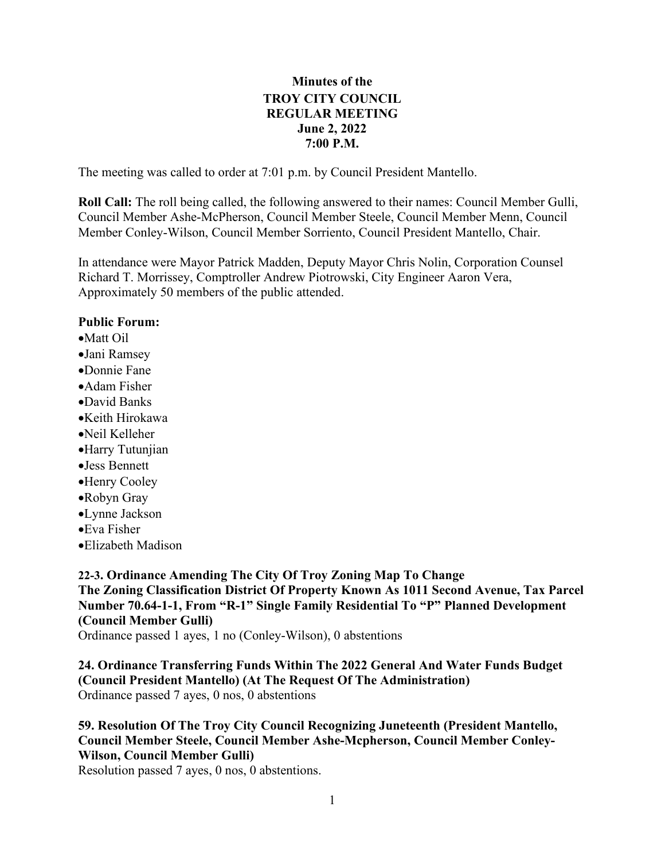## **Minutes of the TROY CITY COUNCIL REGULAR MEETING June 2, 2022 7:00 P.M.**

The meeting was called to order at 7:01 p.m. by Council President Mantello.

**Roll Call:** The roll being called, the following answered to their names: Council Member Gulli, Council Member Ashe-McPherson, Council Member Steele, Council Member Menn, Council Member Conley-Wilson, Council Member Sorriento, Council President Mantello, Chair.

In attendance were Mayor Patrick Madden, Deputy Mayor Chris Nolin, Corporation Counsel Richard T. Morrissey, Comptroller Andrew Piotrowski, City Engineer Aaron Vera, Approximately 50 members of the public attended.

#### **Public Forum:**

- •Matt Oil
- •Jani Ramsey
- •Donnie Fane
- •Adam Fisher
- •David Banks
- •Keith Hirokawa
- •Neil Kelleher
- •Harry Tutunjian
- •Jess Bennett
- •Henry Cooley
- •Robyn Gray
- •Lynne Jackson
- •Eva Fisher
- •Elizabeth Madison

## **22-3. Ordinance Amending The City Of Troy Zoning Map To Change The Zoning Classification District Of Property Known As 1011 Second Avenue, Tax Parcel Number 70.64-1-1, From "R-1" Single Family Residential To "P" Planned Development (Council Member Gulli)**

Ordinance passed 1 ayes, 1 no (Conley-Wilson), 0 abstentions

**24. Ordinance Transferring Funds Within The 2022 General And Water Funds Budget (Council President Mantello) (At The Request Of The Administration)** Ordinance passed 7 ayes, 0 nos, 0 abstentions

## **59. Resolution Of The Troy City Council Recognizing Juneteenth (President Mantello, Council Member Steele, Council Member Ashe-Mcpherson, Council Member Conley-Wilson, Council Member Gulli)**

Resolution passed 7 ayes, 0 nos, 0 abstentions.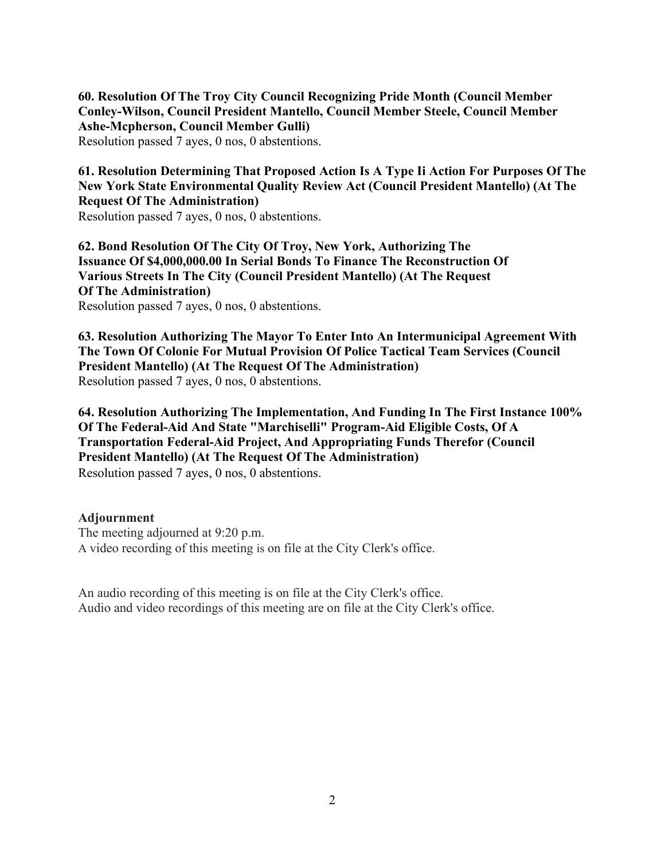**60. Resolution Of The Troy City Council Recognizing Pride Month (Council Member Conley-Wilson, Council President Mantello, Council Member Steele, Council Member Ashe-Mcpherson, Council Member Gulli)**

Resolution passed 7 ayes, 0 nos, 0 abstentions.

## **61. Resolution Determining That Proposed Action Is A Type Ii Action For Purposes Of The New York State Environmental Quality Review Act (Council President Mantello) (At The Request Of The Administration)**

Resolution passed 7 ayes, 0 nos, 0 abstentions.

**62. Bond Resolution Of The City Of Troy, New York, Authorizing The Issuance Of \$4,000,000.00 In Serial Bonds To Finance The Reconstruction Of Various Streets In The City (Council President Mantello) (At The Request Of The Administration)**

Resolution passed 7 ayes, 0 nos, 0 abstentions.

**63. Resolution Authorizing The Mayor To Enter Into An Intermunicipal Agreement With The Town Of Colonie For Mutual Provision Of Police Tactical Team Services (Council President Mantello) (At The Request Of The Administration)** Resolution passed 7 ayes, 0 nos, 0 abstentions.

**64. Resolution Authorizing The Implementation, And Funding In The First Instance 100% Of The Federal-Aid And State "Marchiselli" Program-Aid Eligible Costs, Of A Transportation Federal-Aid Project, And Appropriating Funds Therefor (Council President Mantello) (At The Request Of The Administration)** Resolution passed 7 ayes, 0 nos, 0 abstentions.

#### **Adjournment**

The meeting adjourned at 9:20 p.m. A video recording of this meeting is on file at the City Clerk's office.

An audio recording of this meeting is on file at the City Clerk's office. Audio and video recordings of this meeting are on file at the City Clerk's office.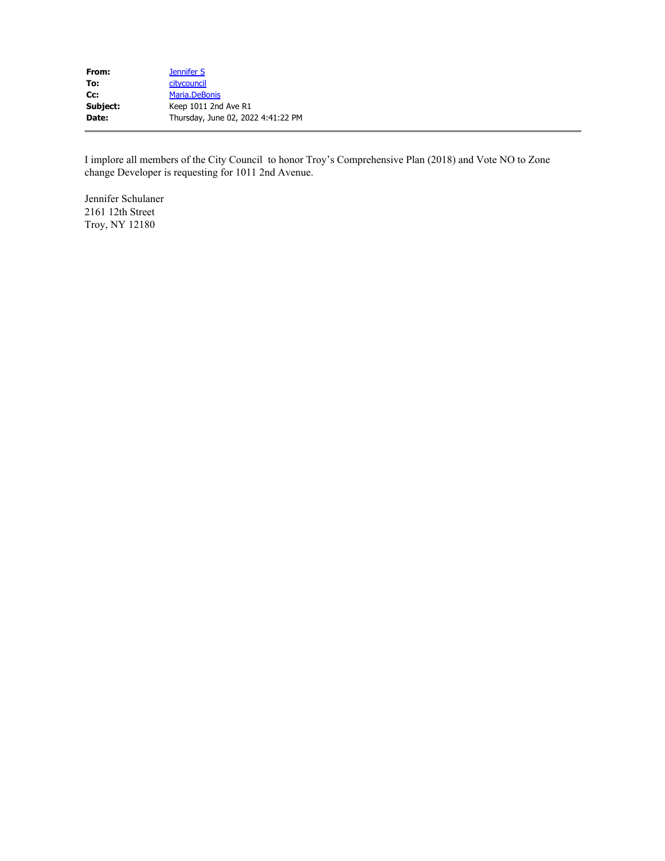| From:    | Jennifer S                         |
|----------|------------------------------------|
| To:      | citycouncil                        |
| Cc:      | Maria.DeBonis                      |
| Subject: | Keep 1011 2nd Ave R1               |
| Date:    | Thursday, June 02, 2022 4:41:22 PM |
|          |                                    |

I implore all members of the City Council to honor Troy's Comprehensive Plan (2018) and Vote NO to Zone change Developer is requesting for 1011 2nd Avenue.

Jennifer Schulaner 2161 12th Street Troy, NY 12180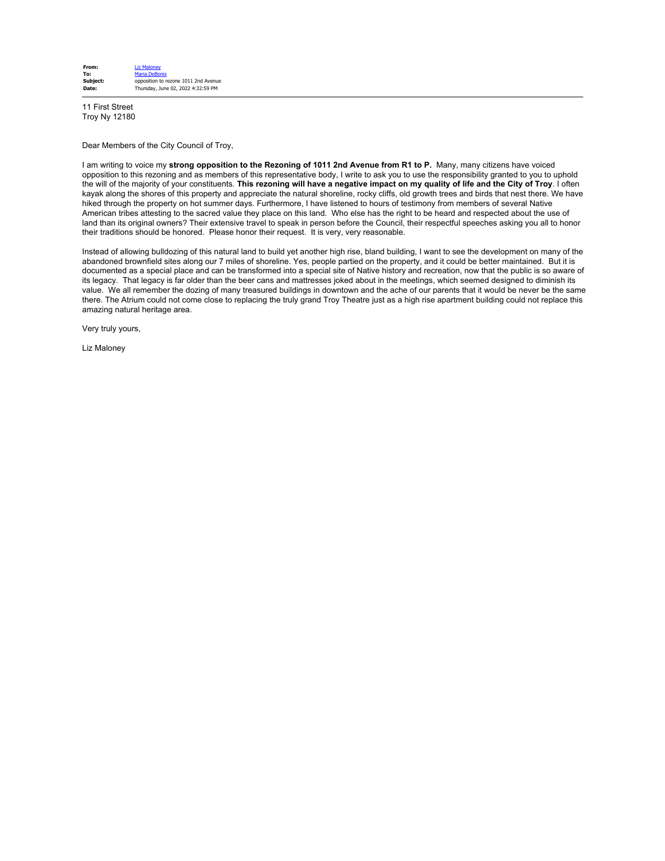| From:    | <b>Liz Malonev</b>                   |
|----------|--------------------------------------|
| To:      | Maria.DeBonis                        |
| Subject: | opposition to rezone 1011 2nd Avenue |
| Date:    | Thursday, June 02, 2022 4:32:59 PM   |

11 First Street Troy Ny 12180

Dear Members of the City Council of Troy,

I am writing to voice my **strong opposition to the Rezoning of 1011 2nd Avenue from R1 to P.** Many, many citizens have voiced opposition to this rezoning and as members of this representative body, I write to ask you to use the responsibility granted to you to uphold the will of the majority of your constituents. **This rezoning will have a negative impact on my quality of life and the City of Troy**. I often kayak along the shores of this property and appreciate the natural shoreline, rocky cliffs, old growth trees and birds that nest there. We have hiked through the property on hot summer days. Furthermore, I have listened to hours of testimony from members of several Native American tribes attesting to the sacred value they place on this land. Who else has the right to be heard and respected about the use of land than its original owners? Their extensive travel to speak in person before the Council, their respectful speeches asking you all to honor their traditions should be honored. Please honor their request. It is very, very reasonable.

Instead of allowing bulldozing of this natural land to build yet another high rise, bland building, I want to see the development on many of the abandoned brownfield sites along our 7 miles of shoreline. Yes, people partied on the property, and it could be better maintained. But it is documented as a special place and can be transformed into a special site of Native history and recreation, now that the public is so aware of its legacy. That legacy is far older than the beer cans and mattresses joked about in the meetings, which seemed designed to diminish its value. We all remember the dozing of many treasured buildings in downtown and the ache of our parents that it would be never be the same there. The Atrium could not come close to replacing the truly grand Troy Theatre just as a high rise apartment building could not replace this amazing natural heritage area.

Very truly yours,

Liz Maloney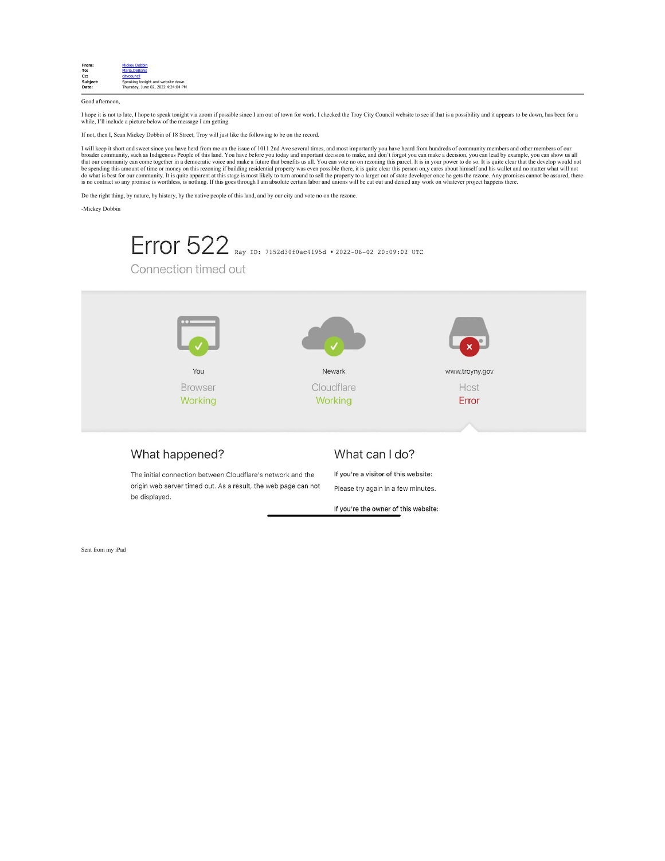

Good afternoon,

I hope it is not to late, I hope to speak tonight via zoom if possible since I am out of town for work. I checked the Troy City Council website to see if that is a possibility and it appears to be down, has been for a while, I'll include a picture below of the message I am getting.

If not, then I, Sean Mickey Dobbin of 18 Street, Troy will just like the following to be on the record.

I will keep it short and sweet since you have herd from me on the issue of 1011 2nd Ave several times, and most importantly you have heard from hundreds of community members and other members of our<br>broader community, such

Do the right thing, by nature, by history, by the native people of this land, and by our city and vote no on the rezone.

-Mickey Dobbin



The initial connection between Cloudflare's network and the origin web server timed out. As a result, the web page can not be displayed.

If you're a visitor of this website: Please try again in a few minutes.

If you're the owner of this website:

Sent from my iPad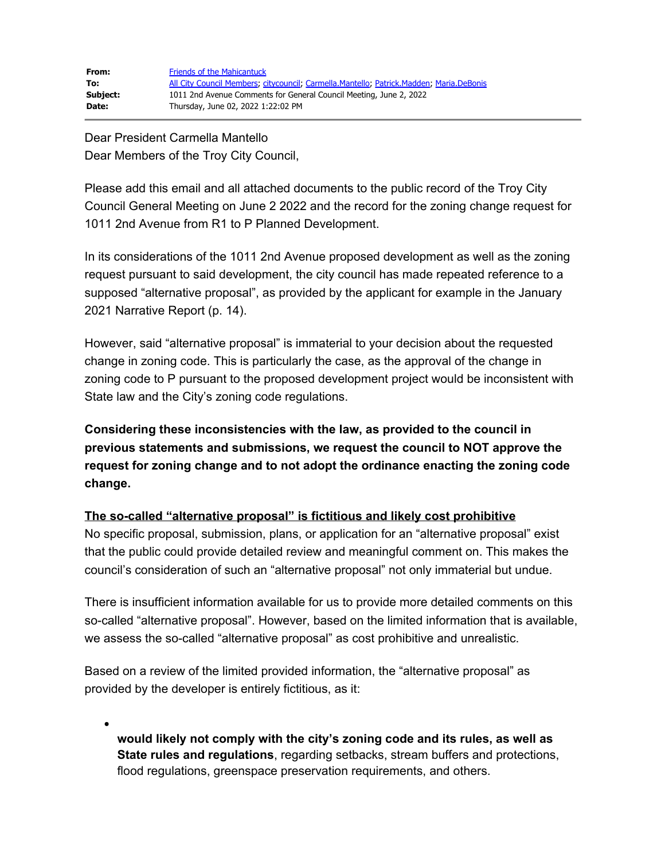| From:    | <b>Friends of the Mahicantuck</b>                                                       |
|----------|-----------------------------------------------------------------------------------------|
| To:      | All City Council Members; citycouncil; Carmella.Mantello; Patrick.Madden; Maria.DeBonis |
| Subject: | 1011 2nd Avenue Comments for General Council Meeting, June 2, 2022                      |
| Date:    | Thursday, June 02, 2022 1:22:02 PM                                                      |

Dear President Carmella Mantello Dear Members of the Troy City Council,

Please add this email and all attached documents to the public record of the Troy City Council General Meeting on June 2 2022 and the record for the zoning change request for 1011 2nd Avenue from R1 to P Planned Development.

In its considerations of the 1011 2nd Avenue proposed development as well as the zoning request pursuant to said development, the city council has made repeated reference to a supposed "alternative proposal", as provided by the applicant for example in the January 2021 Narrative Report (p. 14).

However, said "alternative proposal" is immaterial to your decision about the requested change in zoning code. This is particularly the case, as the approval of the change in zoning code to P pursuant to the proposed development project would be inconsistent with State law and the City's zoning code regulations.

**Considering these inconsistencies with the law, as provided to the council in previous statements and submissions, we request the council to NOT approve the request for zoning change and to not adopt the ordinance enacting the zoning code change.**

## **The so-called "alternative proposal" is fictitious and likely cost prohibitive**

No specific proposal, submission, plans, or application for an "alternative proposal" exist that the public could provide detailed review and meaningful comment on. This makes the council's consideration of such an "alternative proposal" not only immaterial but undue.

There is insufficient information available for us to provide more detailed comments on this so-called "alternative proposal". However, based on the limited information that is available, we assess the so-called "alternative proposal" as cost prohibitive and unrealistic.

Based on a review of the limited provided information, the "alternative proposal" as provided by the developer is entirely fictitious, as it:

**would likely not comply with the city's zoning code and its rules, as well as State rules and regulations**, regarding setbacks, stream buffers and protections, flood regulations, greenspace preservation requirements, and others.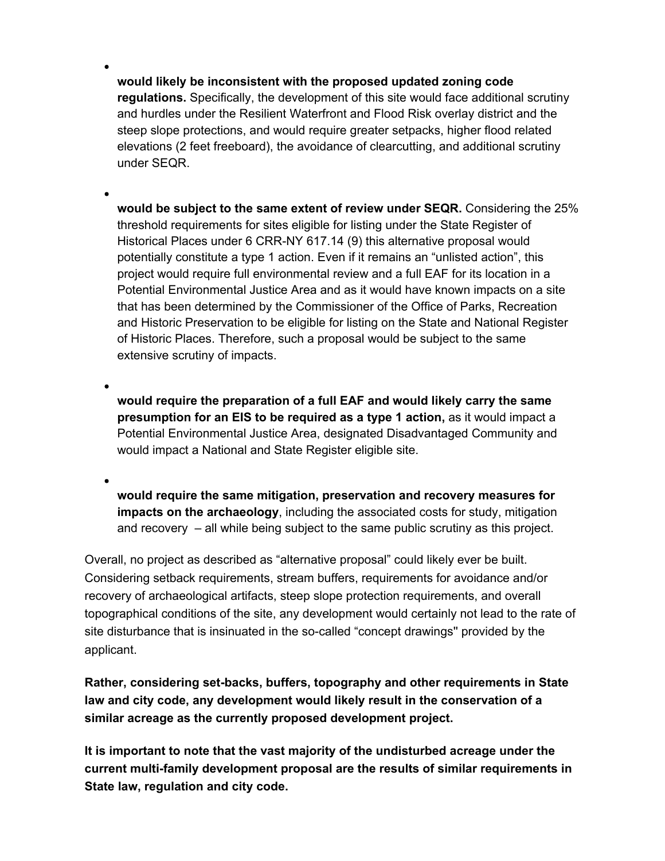**would likely be inconsistent with the proposed updated zoning code regulations.** Specifically, the development of this site would face additional scrutiny and hurdles under the Resilient Waterfront and Flood Risk overlay district and the steep slope protections, and would require greater setpacks, higher flood related elevations (2 feet freeboard), the avoidance of clearcutting, and additional scrutiny under SEQR.

**would be subject to the same extent of review under SEQR.** Considering the 25% threshold requirements for sites eligible for listing under the State Register of Historical Places under 6 CRR-NY 617.14 (9) this alternative proposal would potentially constitute a type 1 action. Even if it remains an "unlisted action", this project would require full environmental review and a full EAF for its location in a Potential Environmental Justice Area and as it would have known impacts on a site that has been determined by the Commissioner of the Office of Parks, Recreation and Historic Preservation to be eligible for listing on the State and National Register of Historic Places. Therefore, such a proposal would be subject to the same extensive scrutiny of impacts.

**would require the preparation of a full EAF and would likely carry the same presumption for an EIS to be required as a type 1 action,** as it would impact a Potential Environmental Justice Area, designated Disadvantaged Community and would impact a National and State Register eligible site.

**would require the same mitigation, preservation and recovery measures for impacts on the archaeology**, including the associated costs for study, mitigation and recovery – all while being subject to the same public scrutiny as this project.

Overall, no project as described as "alternative proposal" could likely ever be built. Considering setback requirements, stream buffers, requirements for avoidance and/or recovery of archaeological artifacts, steep slope protection requirements, and overall topographical conditions of the site, any development would certainly not lead to the rate of site disturbance that is insinuated in the so-called "concept drawings'' provided by the applicant.

**Rather, considering set-backs, buffers, topography and other requirements in State law and city code, any development would likely result in the conservation of a similar acreage as the currently proposed development project.**

**It is important to note that the vast majority of the undisturbed acreage under the current multi-family development proposal are the results of similar requirements in State law, regulation and city code.**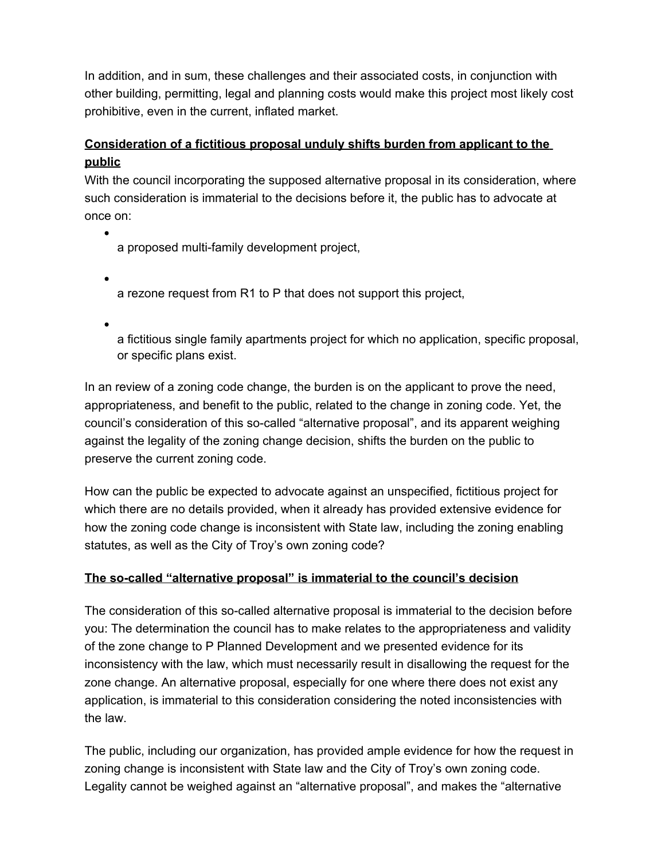In addition, and in sum, these challenges and their associated costs, in conjunction with other building, permitting, legal and planning costs would make this project most likely cost prohibitive, even in the current, inflated market.

# **Consideration of a fictitious proposal unduly shifts burden from applicant to the public**

With the council incorporating the supposed alternative proposal in its consideration, where such consideration is immaterial to the decisions before it, the public has to advocate at once on:

a proposed multi-family development project,

a rezone request from R1 to P that does not support this project,

a fictitious single family apartments project for which no application, specific proposal, or specific plans exist.

In an review of a zoning code change, the burden is on the applicant to prove the need, appropriateness, and benefit to the public, related to the change in zoning code. Yet, the council's consideration of this so-called "alternative proposal", and its apparent weighing against the legality of the zoning change decision, shifts the burden on the public to preserve the current zoning code.

How can the public be expected to advocate against an unspecified, fictitious project for which there are no details provided, when it already has provided extensive evidence for how the zoning code change is inconsistent with State law, including the zoning enabling statutes, as well as the City of Troy's own zoning code?

## **The so-called "alternative proposal" is immaterial to the council's decision**

The consideration of this so-called alternative proposal is immaterial to the decision before you: The determination the council has to make relates to the appropriateness and validity of the zone change to P Planned Development and we presented evidence for its inconsistency with the law, which must necessarily result in disallowing the request for the zone change. An alternative proposal, especially for one where there does not exist any application, is immaterial to this consideration considering the noted inconsistencies with the law.

The public, including our organization, has provided ample evidence for how the request in zoning change is inconsistent with State law and the City of Troy's own zoning code. Legality cannot be weighed against an "alternative proposal", and makes the "alternative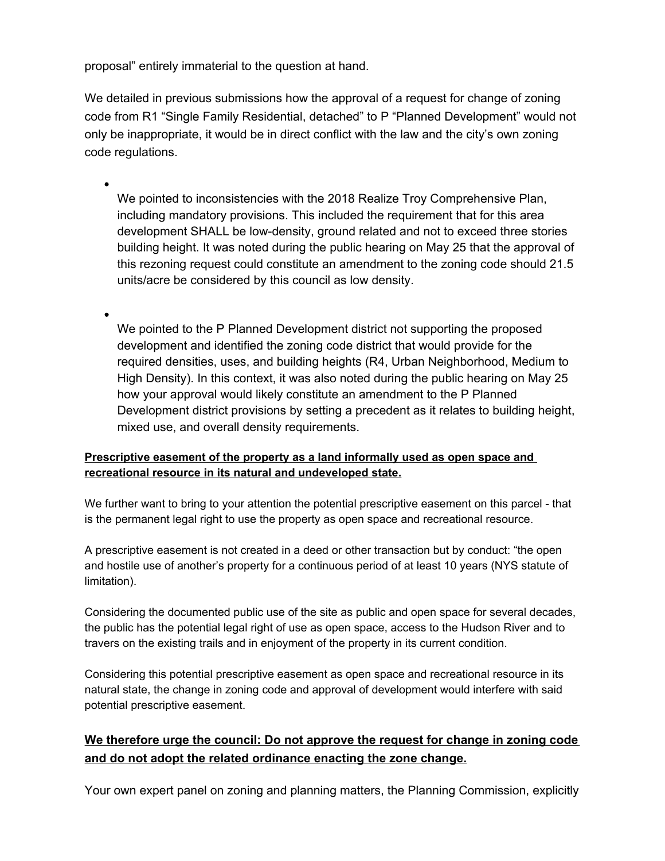proposal" entirely immaterial to the question at hand.

We detailed in previous submissions how the approval of a request for change of zoning code from R1 "Single Family Residential, detached" to P "Planned Development" would not only be inappropriate, it would be in direct conflict with the law and the city's own zoning code regulations.

We pointed to inconsistencies with the 2018 Realize Troy Comprehensive Plan, including mandatory provisions. This included the requirement that for this area development SHALL be low-density, ground related and not to exceed three stories building height. It was noted during the public hearing on May 25 that the approval of this rezoning request could constitute an amendment to the zoning code should 21.5 units/acre be considered by this council as low density.

We pointed to the P Planned Development district not supporting the proposed development and identified the zoning code district that would provide for the required densities, uses, and building heights (R4, Urban Neighborhood, Medium to High Density). In this context, it was also noted during the public hearing on May 25 how your approval would likely constitute an amendment to the P Planned Development district provisions by setting a precedent as it relates to building height, mixed use, and overall density requirements.

#### **Prescriptive easement of the property as a land informally used as open space and recreational resource in its natural and undeveloped state.**

We further want to bring to your attention the potential prescriptive easement on this parcel - that is the permanent legal right to use the property as open space and recreational resource.

A prescriptive easement is not created in a deed or other transaction but by conduct: "the open and hostile use of another's property for a continuous period of at least 10 years (NYS statute of limitation).

Considering the documented public use of the site as public and open space for several decades, the public has the potential legal right of use as open space, access to the Hudson River and to travers on the existing trails and in enjoyment of the property in its current condition.

Considering this potential prescriptive easement as open space and recreational resource in its natural state, the change in zoning code and approval of development would interfere with said potential prescriptive easement.

## **We therefore urge the council: Do not approve the request for change in zoning code and do not adopt the related ordinance enacting the zone change.**

Your own expert panel on zoning and planning matters, the Planning Commission, explicitly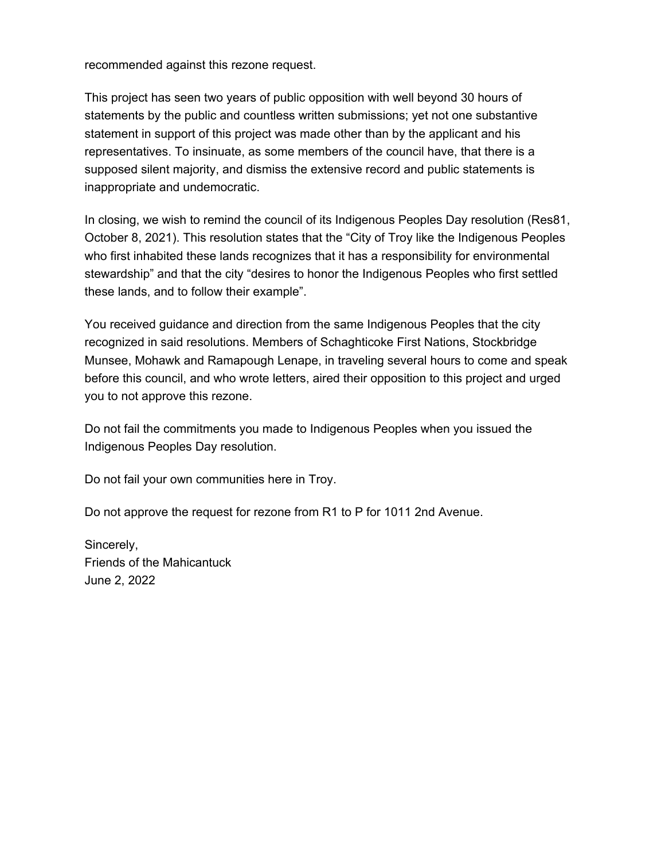recommended against this rezone request.

This project has seen two years of public opposition with well beyond 30 hours of statements by the public and countless written submissions; yet not one substantive statement in support of this project was made other than by the applicant and his representatives. To insinuate, as some members of the council have, that there is a supposed silent majority, and dismiss the extensive record and public statements is inappropriate and undemocratic.

In closing, we wish to remind the council of its Indigenous Peoples Day resolution (Res81, October 8, 2021). This resolution states that the "City of Troy like the Indigenous Peoples who first inhabited these lands recognizes that it has a responsibility for environmental stewardship" and that the city "desires to honor the Indigenous Peoples who first settled these lands, and to follow their example".

You received guidance and direction from the same Indigenous Peoples that the city recognized in said resolutions. Members of Schaghticoke First Nations, Stockbridge Munsee, Mohawk and Ramapough Lenape, in traveling several hours to come and speak before this council, and who wrote letters, aired their opposition to this project and urged you to not approve this rezone.

Do not fail the commitments you made to Indigenous Peoples when you issued the Indigenous Peoples Day resolution.

Do not fail your own communities here in Troy.

Do not approve the request for rezone from R1 to P for 1011 2nd Avenue.

Sincerely, Friends of the Mahicantuck June 2, 2022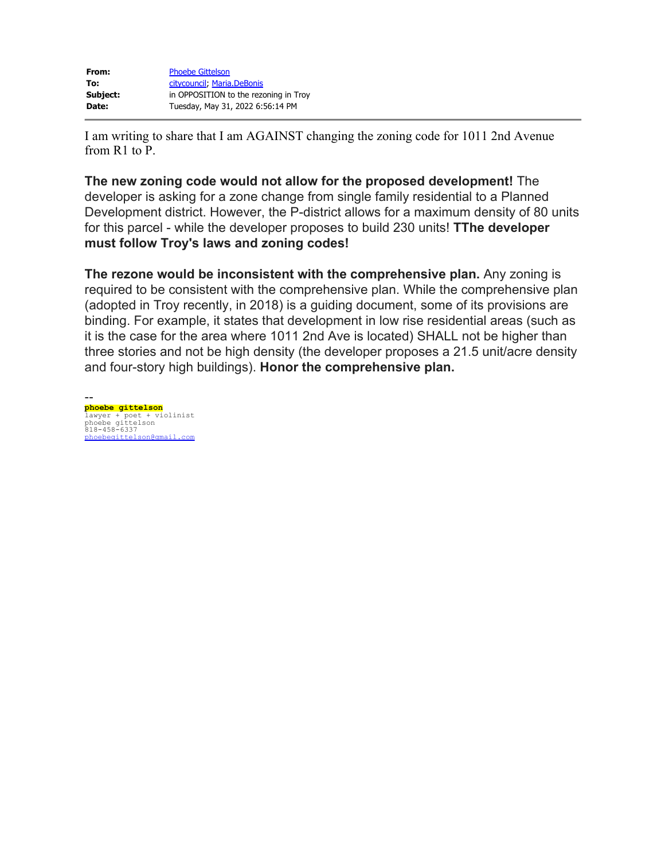| From:    | <b>Phoebe Gittelson</b>               |
|----------|---------------------------------------|
| To:      | citycouncil, Maria.DeBonis            |
| Subject: | in OPPOSITION to the rezoning in Troy |
| Date:    | Tuesday, May 31, 2022 6:56:14 PM      |

I am writing to share that I am AGAINST changing the zoning code for 1011 2nd Avenue from R1 to P.

**The new zoning code would not allow for the proposed development!** The developer is asking for a zone change from single family residential to a Planned Development district. However, the P-district allows for a maximum density of 80 units for this parcel - while the developer proposes to build 230 units! **TThe developer must follow Troy's laws and zoning codes!**

**The rezone would be inconsistent with the comprehensive plan.** Any zoning is required to be consistent with the comprehensive plan. While the comprehensive plan (adopted in Troy recently, in 2018) is a guiding document, some of its provisions are binding. For example, it states that development in low rise residential areas (such as it is the case for the area where 1011 2nd Ave is located) SHALL not be higher than three stories and not be high density (the developer proposes a 21.5 unit/acre density and four-story high buildings). **Honor the comprehensive plan.**

- **phoebe gittelson** lawyer + poet + violinist phoebe gittelson 818-458-6337 [phoebegittelson@gmail.com](mailto:phoebegittelson@gmail.com)